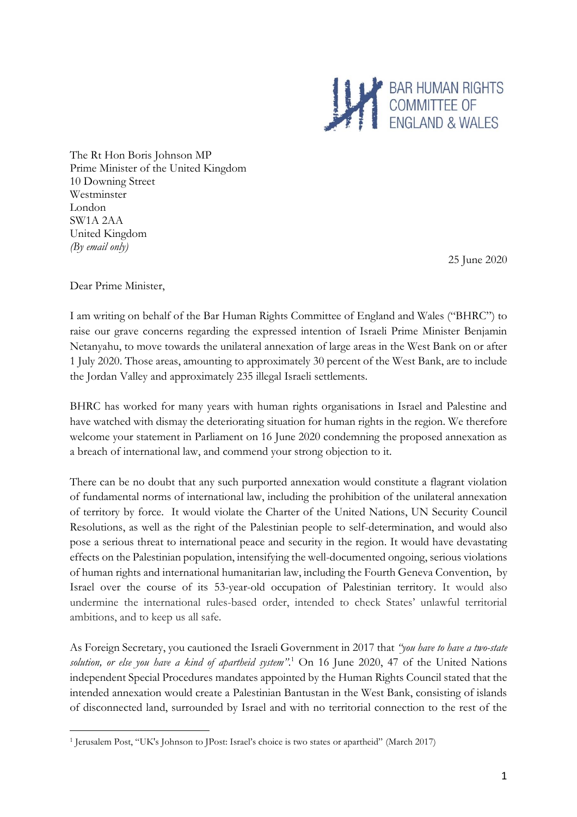

The Rt Hon Boris Johnson MP Prime Minister of the United Kingdom 10 Downing Street Westminster London SW1A 2AA United Kingdom *(By email only)*

25 June 2020

Dear Prime Minister,

I am writing on behalf of the Bar Human Rights Committee of England and Wales ("BHRC") to raise our grave concerns regarding the expressed intention of Israeli Prime Minister Benjamin Netanyahu, to move towards the unilateral annexation of large areas in the West Bank on or after 1 July 2020. Those areas, amounting to approximately 30 percent of the West Bank, are to include the Jordan Valley and approximately 235 illegal Israeli settlements.

BHRC has worked for many years with human rights organisations in Israel and Palestine and have watched with dismay the deteriorating situation for human rights in the region. We therefore welcome your statement in Parliament on 16 June 2020 condemning the proposed annexation as a breach of international law, and commend your strong objection to it.

There can be no doubt that any such purported annexation would constitute a flagrant violation of fundamental norms of international law, including the prohibition of the unilateral annexation of territory by force. It would violate the Charter of the United Nations, UN Security Council Resolutions, as well as the right of the Palestinian people to self-determination, and would also pose a serious threat to international peace and security in the region. It would have devastating effects on the Palestinian population, intensifying the well-documented ongoing, serious violations of human rights and international humanitarian law, including the Fourth Geneva Convention, by Israel over the course of its 53-year-old occupation of Palestinian territory. It would also undermine the international rules-based order, intended to check States' unlawful territorial ambitions, and to keep us all safe.

As Foreign Secretary, you cautioned the Israeli Government in 2017 that *"you have to have a two-state solution, or else you have a kind of apartheid system".* <sup>1</sup> On 16 June 2020, 47 of the United Nations independent Special Procedures mandates appointed by the Human Rights Council stated that the intended annexation would create a Palestinian Bantustan in the West Bank, consisting of islands of disconnected land, surrounded by Israel and with no territorial connection to the rest of the

<sup>1</sup> Jerusalem Post, "UK's Johnson to JPost: Israel's choice is two states or apartheid" (March 2017)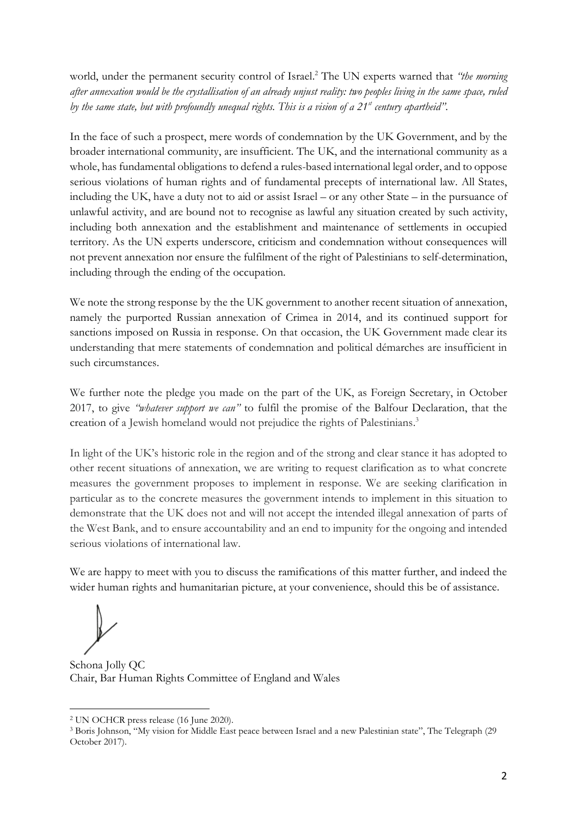world, under the permanent security control of Israel. <sup>2</sup> The UN experts warned that *"the morning after annexation would be the crystallisation of an already unjust reality: two peoples living in the same space, ruled by the same state, but with profoundly unequal rights. This is a vision of a 21st century apartheid"*.

In the face of such a prospect, mere words of condemnation by the UK Government, and by the broader international community, are insufficient. The UK, and the international community as a whole, has fundamental obligations to defend a rules-based international legal order, and to oppose serious violations of human rights and of fundamental precepts of international law. All States, including the UK, have a duty not to aid or assist Israel – or any other State – in the pursuance of unlawful activity, and are bound not to recognise as lawful any situation created by such activity, including both annexation and the establishment and maintenance of settlements in occupied territory. As the UN experts underscore, criticism and condemnation without consequences will not prevent annexation nor ensure the fulfilment of the right of Palestinians to self-determination, including through the ending of the occupation.

We note the strong response by the the UK government to another recent situation of annexation, namely the purported Russian annexation of Crimea in 2014, and its continued support for sanctions imposed on Russia in response. On that occasion, the UK Government made clear its understanding that mere statements of condemnation and political démarches are insufficient in such circumstances.

We further note the pledge you made on the part of the UK, as Foreign Secretary, in October 2017, to give *"whatever support we can"* to fulfil the promise of the Balfour Declaration, that the creation of a Jewish homeland would not prejudice the rights of Palestinians. 3

In light of the UK's historic role in the region and of the strong and clear stance it has adopted to other recent situations of annexation, we are writing to request clarification as to what concrete measures the government proposes to implement in response. We are seeking clarification in particular as to the concrete measures the government intends to implement in this situation to demonstrate that the UK does not and will not accept the intended illegal annexation of parts of the West Bank, and to ensure accountability and an end to impunity for the ongoing and intended serious violations of international law.

We are happy to meet with you to discuss the ramifications of this matter further, and indeed the wider human rights and humanitarian picture, at your convenience, should this be of assistance.

Schona Jolly QC Chair, Bar Human Rights Committee of England and Wales

<sup>2</sup> UN OCHCR press release (16 June 2020).

<sup>3</sup> Boris Johnson, "My vision for Middle East peace between Israel and a new Palestinian state", The Telegraph (29 October 2017).